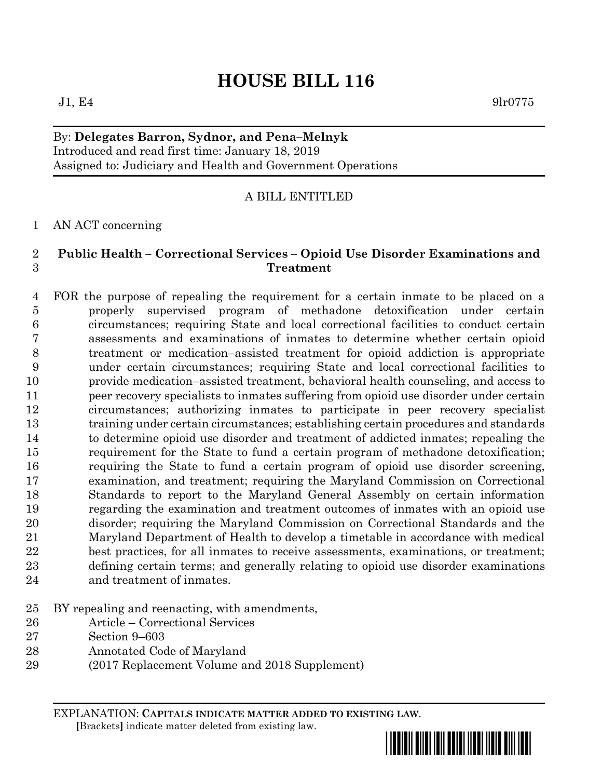# **HOUSE BILL 116**

 $J1, E4$  9lr0775

## By: **Delegates Barron, Sydnor, and Pena–Melnyk** Introduced and read first time: January 18, 2019 Assigned to: Judiciary and Health and Government Operations

# A BILL ENTITLED

#### AN ACT concerning

## **Public Health – Correctional Services – Opioid Use Disorder Examinations and Treatment**

- FOR the purpose of repealing the requirement for a certain inmate to be placed on a properly supervised program of methadone detoxification under certain circumstances; requiring State and local correctional facilities to conduct certain assessments and examinations of inmates to determine whether certain opioid treatment or medication–assisted treatment for opioid addiction is appropriate under certain circumstances; requiring State and local correctional facilities to provide medication–assisted treatment, behavioral health counseling, and access to peer recovery specialists to inmates suffering from opioid use disorder under certain circumstances; authorizing inmates to participate in peer recovery specialist training under certain circumstances; establishing certain procedures and standards to determine opioid use disorder and treatment of addicted inmates; repealing the requirement for the State to fund a certain program of methadone detoxification; requiring the State to fund a certain program of opioid use disorder screening, examination, and treatment; requiring the Maryland Commission on Correctional Standards to report to the Maryland General Assembly on certain information regarding the examination and treatment outcomes of inmates with an opioid use disorder; requiring the Maryland Commission on Correctional Standards and the Maryland Department of Health to develop a timetable in accordance with medical best practices, for all inmates to receive assessments, examinations, or treatment; defining certain terms; and generally relating to opioid use disorder examinations and treatment of inmates.
- BY repealing and reenacting, with amendments,
- Article Correctional Services
- Section 9–603
- Annotated Code of Maryland
- (2017 Replacement Volume and 2018 Supplement)

EXPLANATION: **CAPITALS INDICATE MATTER ADDED TO EXISTING LAW**.  **[**Brackets**]** indicate matter deleted from existing law.

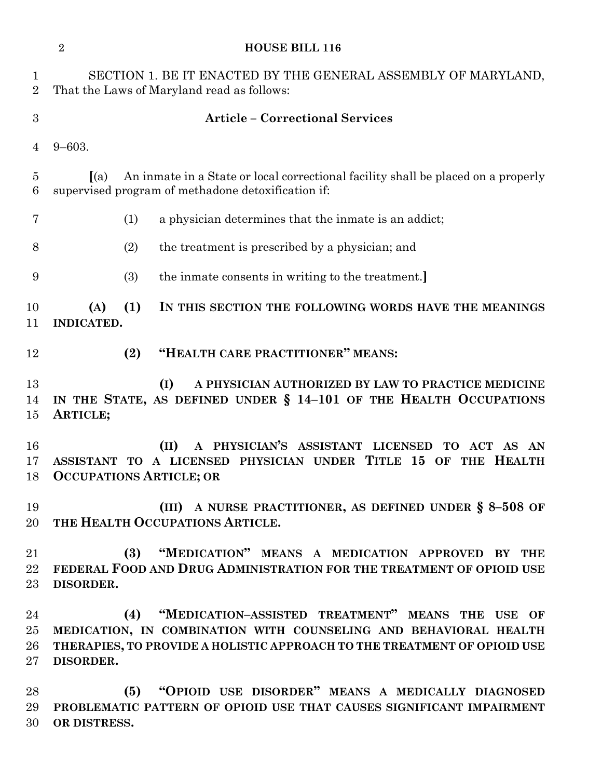|                               | $\overline{2}$<br><b>HOUSE BILL 116</b>                                                                                                                                                                              |
|-------------------------------|----------------------------------------------------------------------------------------------------------------------------------------------------------------------------------------------------------------------|
| $\mathbf 1$<br>$\overline{2}$ | SECTION 1. BE IT ENACTED BY THE GENERAL ASSEMBLY OF MARYLAND,<br>That the Laws of Maryland read as follows:                                                                                                          |
| 3                             | <b>Article - Correctional Services</b>                                                                                                                                                                               |
| 4                             | $9 - 603.$                                                                                                                                                                                                           |
| $\overline{5}$<br>6           | An inmate in a State or local correctional facility shall be placed on a properly<br>(a)<br>supervised program of methadone detoxification if:                                                                       |
| 7                             | (1)<br>a physician determines that the inmate is an addict;                                                                                                                                                          |
| 8                             | (2)<br>the treatment is prescribed by a physician; and                                                                                                                                                               |
| 9                             | (3)<br>the inmate consents in writing to the treatment.                                                                                                                                                              |
| 10<br>11                      | (1)<br>(A)<br>IN THIS SECTION THE FOLLOWING WORDS HAVE THE MEANINGS<br>INDICATED.                                                                                                                                    |
| 12                            | "HEALTH CARE PRACTITIONER" MEANS:<br>(2)                                                                                                                                                                             |
| 13<br>14<br>15                | (I)<br>A PHYSICIAN AUTHORIZED BY LAW TO PRACTICE MEDICINE<br>IN THE STATE, AS DEFINED UNDER § 14-101 OF THE HEALTH OCCUPATIONS<br>ARTICLE;                                                                           |
| 16<br>17<br>18                | A PHYSICIAN'S ASSISTANT LICENSED TO ACT AS AN<br>(II)<br>ASSISTANT TO A LICENSED PHYSICIAN UNDER TITLE 15 OF THE HEALTH<br><b>OCCUPATIONS ARTICLE; OR</b>                                                            |
| 19<br>20                      | (III) A NURSE PRACTITIONER, AS DEFINED UNDER $\S$ 8-508 OF<br>THE HEALTH OCCUPATIONS ARTICLE.                                                                                                                        |
| 21<br>22<br>$23\,$            | "MEDICATION" MEANS A MEDICATION APPROVED BY THE<br>(3)<br>FEDERAL FOOD AND DRUG ADMINISTRATION FOR THE TREATMENT OF OPIOID USE<br>DISORDER.                                                                          |
| 24<br>$25\,$<br>26<br>$27\,$  | "MEDICATION-ASSISTED TREATMENT" MEANS THE USE OF<br>(4)<br>MEDICATION, IN COMBINATION WITH COUNSELING AND BEHAVIORAL HEALTH<br>THERAPIES, TO PROVIDE A HOLISTIC APPROACH TO THE TREATMENT OF OPIOID USE<br>DISORDER. |
| 28                            | "OPIOID USE DISORDER" MEANS A MEDICALLY DIAGNOSED<br>(5)                                                                                                                                                             |

 **PROBLEMATIC PATTERN OF OPIOID USE THAT CAUSES SIGNIFICANT IMPAIRMENT OR DISTRESS.**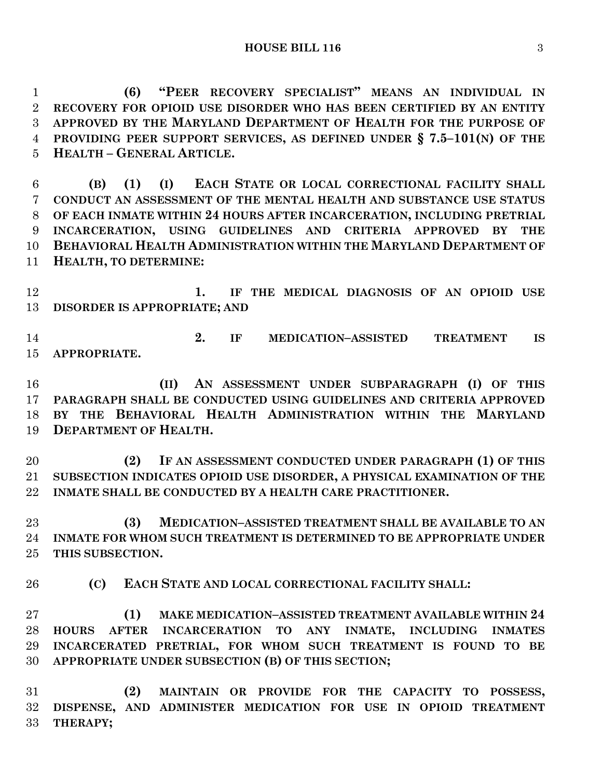**(6) "PEER RECOVERY SPECIALIST" MEANS AN INDIVIDUAL IN RECOVERY FOR OPIOID USE DISORDER WHO HAS BEEN CERTIFIED BY AN ENTITY APPROVED BY THE MARYLAND DEPARTMENT OF HEALTH FOR THE PURPOSE OF PROVIDING PEER SUPPORT SERVICES, AS DEFINED UNDER § 7.5–101(N) OF THE HEALTH – GENERAL ARTICLE.**

 **(B) (1) (I) EACH STATE OR LOCAL CORRECTIONAL FACILITY SHALL CONDUCT AN ASSESSMENT OF THE MENTAL HEALTH AND SUBSTANCE USE STATUS OF EACH INMATE WITHIN 24 HOURS AFTER INCARCERATION, INCLUDING PRETRIAL INCARCERATION, USING GUIDELINES AND CRITERIA APPROVED BY THE BEHAVIORAL HEALTH ADMINISTRATION WITHIN THE MARYLAND DEPARTMENT OF HEALTH, TO DETERMINE:**

 **1. IF THE MEDICAL DIAGNOSIS OF AN OPIOID USE DISORDER IS APPROPRIATE; AND** 

 **2. IF MEDICATION–ASSISTED TREATMENT IS APPROPRIATE.**

 **(II) AN ASSESSMENT UNDER SUBPARAGRAPH (I) OF THIS PARAGRAPH SHALL BE CONDUCTED USING GUIDELINES AND CRITERIA APPROVED BY THE BEHAVIORAL HEALTH ADMINISTRATION WITHIN THE MARYLAND DEPARTMENT OF HEALTH.**

 **(2) IF AN ASSESSMENT CONDUCTED UNDER PARAGRAPH (1) OF THIS SUBSECTION INDICATES OPIOID USE DISORDER, A PHYSICAL EXAMINATION OF THE INMATE SHALL BE CONDUCTED BY A HEALTH CARE PRACTITIONER.**

 **(3) MEDICATION–ASSISTED TREATMENT SHALL BE AVAILABLE TO AN INMATE FOR WHOM SUCH TREATMENT IS DETERMINED TO BE APPROPRIATE UNDER THIS SUBSECTION.**

**(C) EACH STATE AND LOCAL CORRECTIONAL FACILITY SHALL:**

 **(1) MAKE MEDICATION–ASSISTED TREATMENT AVAILABLE WITHIN 24 HOURS AFTER INCARCERATION TO ANY INMATE, INCLUDING INMATES INCARCERATED PRETRIAL, FOR WHOM SUCH TREATMENT IS FOUND TO BE APPROPRIATE UNDER SUBSECTION (B) OF THIS SECTION;**

 **(2) MAINTAIN OR PROVIDE FOR THE CAPACITY TO POSSESS, DISPENSE, AND ADMINISTER MEDICATION FOR USE IN OPIOID TREATMENT THERAPY;**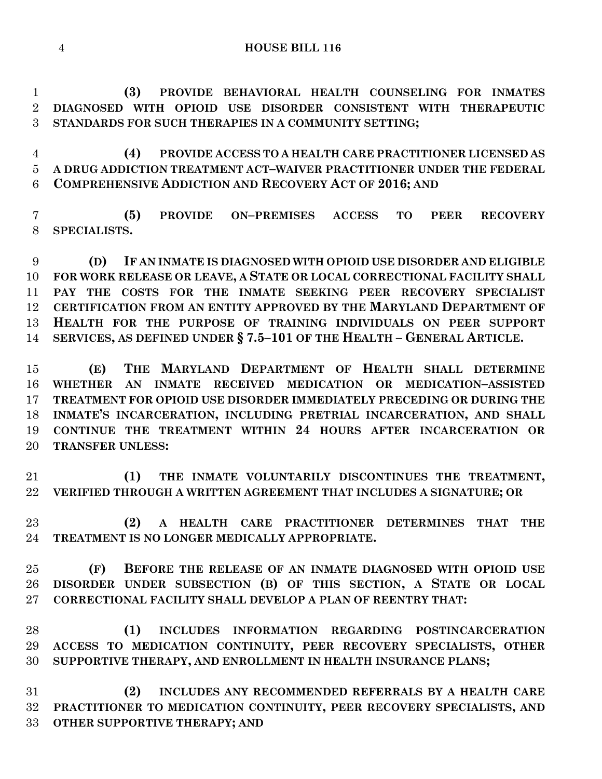**(3) PROVIDE BEHAVIORAL HEALTH COUNSELING FOR INMATES DIAGNOSED WITH OPIOID USE DISORDER CONSISTENT WITH THERAPEUTIC STANDARDS FOR SUCH THERAPIES IN A COMMUNITY SETTING;**

 **(4) PROVIDE ACCESS TO A HEALTH CARE PRACTITIONER LICENSED AS A DRUG ADDICTION TREATMENT ACT–WAIVER PRACTITIONER UNDER THE FEDERAL COMPREHENSIVE ADDICTION AND RECOVERY ACT OF 2016; AND**

 **(5) PROVIDE ON–PREMISES ACCESS TO PEER RECOVERY SPECIALISTS.**

 **(D) IF AN INMATE IS DIAGNOSED WITH OPIOID USE DISORDER AND ELIGIBLE FOR WORK RELEASE OR LEAVE, A STATE OR LOCAL CORRECTIONAL FACILITY SHALL PAY THE COSTS FOR THE INMATE SEEKING PEER RECOVERY SPECIALIST CERTIFICATION FROM AN ENTITY APPROVED BY THE MARYLAND DEPARTMENT OF HEALTH FOR THE PURPOSE OF TRAINING INDIVIDUALS ON PEER SUPPORT SERVICES, AS DEFINED UNDER § 7.5–101 OF THE HEALTH – GENERAL ARTICLE.**

 **(E) THE MARYLAND DEPARTMENT OF HEALTH SHALL DETERMINE WHETHER AN INMATE RECEIVED MEDICATION OR MEDICATION–ASSISTED TREATMENT FOR OPIOID USE DISORDER IMMEDIATELY PRECEDING OR DURING THE INMATE'S INCARCERATION, INCLUDING PRETRIAL INCARCERATION, AND SHALL CONTINUE THE TREATMENT WITHIN 24 HOURS AFTER INCARCERATION OR TRANSFER UNLESS:**

 **(1) THE INMATE VOLUNTARILY DISCONTINUES THE TREATMENT, VERIFIED THROUGH A WRITTEN AGREEMENT THAT INCLUDES A SIGNATURE; OR** 

 **(2) A HEALTH CARE PRACTITIONER DETERMINES THAT THE TREATMENT IS NO LONGER MEDICALLY APPROPRIATE.**

 **(F) BEFORE THE RELEASE OF AN INMATE DIAGNOSED WITH OPIOID USE DISORDER UNDER SUBSECTION (B) OF THIS SECTION, A STATE OR LOCAL CORRECTIONAL FACILITY SHALL DEVELOP A PLAN OF REENTRY THAT:**

 **(1) INCLUDES INFORMATION REGARDING POSTINCARCERATION ACCESS TO MEDICATION CONTINUITY, PEER RECOVERY SPECIALISTS, OTHER SUPPORTIVE THERAPY, AND ENROLLMENT IN HEALTH INSURANCE PLANS;**

 **(2) INCLUDES ANY RECOMMENDED REFERRALS BY A HEALTH CARE PRACTITIONER TO MEDICATION CONTINUITY, PEER RECOVERY SPECIALISTS, AND OTHER SUPPORTIVE THERAPY; AND**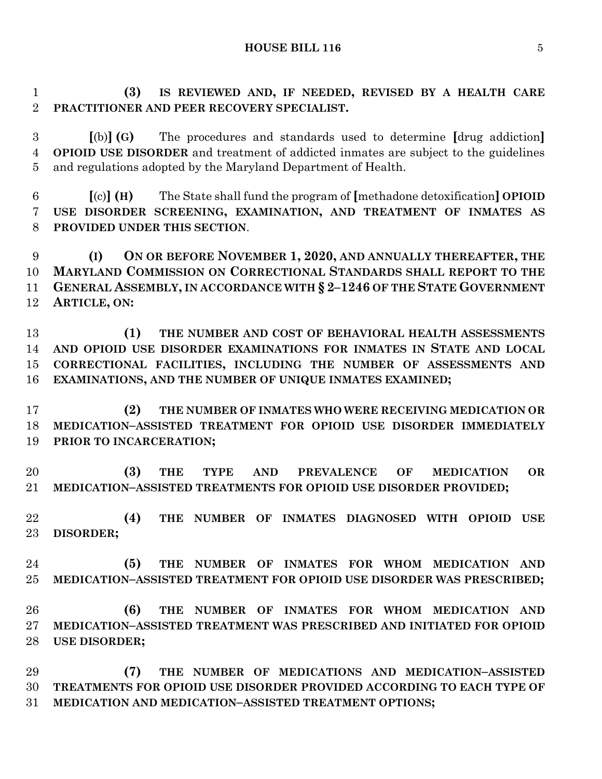**HOUSE BILL 116** 5

 **(3) IS REVIEWED AND, IF NEEDED, REVISED BY A HEALTH CARE PRACTITIONER AND PEER RECOVERY SPECIALIST.**

 **[**(b)**] (G)** The procedures and standards used to determine **[**drug addiction**] OPIOID USE DISORDER** and treatment of addicted inmates are subject to the guidelines and regulations adopted by the Maryland Department of Health.

 **[**(c)**] (H)** The State shall fund the program of **[**methadone detoxification**] OPIOID USE DISORDER SCREENING, EXAMINATION, AND TREATMENT OF INMATES AS PROVIDED UNDER THIS SECTION**.

 **(I) ON OR BEFORE NOVEMBER 1, 2020, AND ANNUALLY THEREAFTER, THE MARYLAND COMMISSION ON CORRECTIONAL STANDARDS SHALL REPORT TO THE GENERAL ASSEMBLY, IN ACCORDANCE WITH § 2–1246 OF THE STATE GOVERNMENT ARTICLE, ON:**

 **(1) THE NUMBER AND COST OF BEHAVIORAL HEALTH ASSESSMENTS AND OPIOID USE DISORDER EXAMINATIONS FOR INMATES IN STATE AND LOCAL CORRECTIONAL FACILITIES, INCLUDING THE NUMBER OF ASSESSMENTS AND EXAMINATIONS, AND THE NUMBER OF UNIQUE INMATES EXAMINED;**

 **(2) THE NUMBER OF INMATES WHO WERE RECEIVING MEDICATION OR MEDICATION–ASSISTED TREATMENT FOR OPIOID USE DISORDER IMMEDIATELY PRIOR TO INCARCERATION;**

 **(3) THE TYPE AND PREVALENCE OF MEDICATION OR MEDICATION–ASSISTED TREATMENTS FOR OPIOID USE DISORDER PROVIDED;**

 **(4) THE NUMBER OF INMATES DIAGNOSED WITH OPIOID USE DISORDER;**

 **(5) THE NUMBER OF INMATES FOR WHOM MEDICATION AND MEDICATION–ASSISTED TREATMENT FOR OPIOID USE DISORDER WAS PRESCRIBED;**

 **(6) THE NUMBER OF INMATES FOR WHOM MEDICATION AND MEDICATION–ASSISTED TREATMENT WAS PRESCRIBED AND INITIATED FOR OPIOID USE DISORDER;**

 **(7) THE NUMBER OF MEDICATIONS AND MEDICATION–ASSISTED TREATMENTS FOR OPIOID USE DISORDER PROVIDED ACCORDING TO EACH TYPE OF MEDICATION AND MEDICATION–ASSISTED TREATMENT OPTIONS;**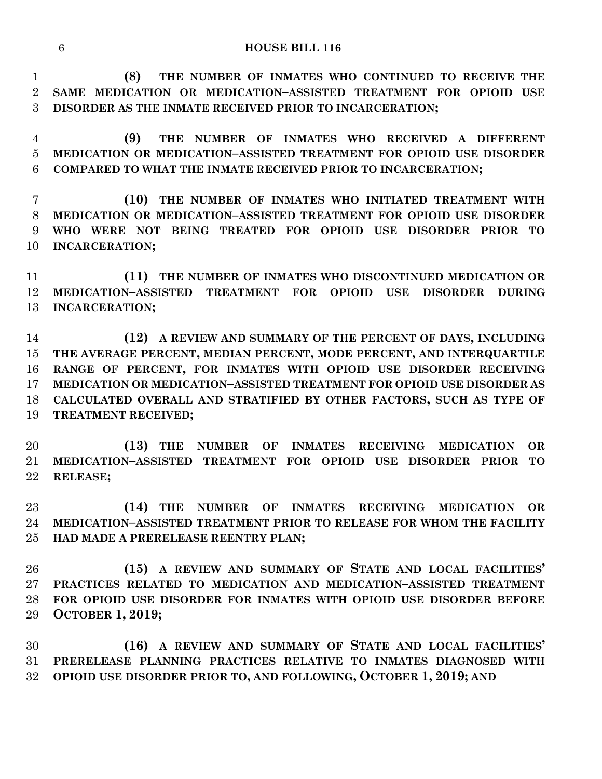**(8) THE NUMBER OF INMATES WHO CONTINUED TO RECEIVE THE SAME MEDICATION OR MEDICATION–ASSISTED TREATMENT FOR OPIOID USE DISORDER AS THE INMATE RECEIVED PRIOR TO INCARCERATION;**

 **(9) THE NUMBER OF INMATES WHO RECEIVED A DIFFERENT MEDICATION OR MEDICATION–ASSISTED TREATMENT FOR OPIOID USE DISORDER COMPARED TO WHAT THE INMATE RECEIVED PRIOR TO INCARCERATION;**

 **(10) THE NUMBER OF INMATES WHO INITIATED TREATMENT WITH MEDICATION OR MEDICATION–ASSISTED TREATMENT FOR OPIOID USE DISORDER WHO WERE NOT BEING TREATED FOR OPIOID USE DISORDER PRIOR TO INCARCERATION;**

 **(11) THE NUMBER OF INMATES WHO DISCONTINUED MEDICATION OR MEDICATION–ASSISTED TREATMENT FOR OPIOID USE DISORDER DURING INCARCERATION;**

 **(12) A REVIEW AND SUMMARY OF THE PERCENT OF DAYS, INCLUDING THE AVERAGE PERCENT, MEDIAN PERCENT, MODE PERCENT, AND INTERQUARTILE RANGE OF PERCENT, FOR INMATES WITH OPIOID USE DISORDER RECEIVING MEDICATION OR MEDICATION–ASSISTED TREATMENT FOR OPIOID USE DISORDER AS CALCULATED OVERALL AND STRATIFIED BY OTHER FACTORS, SUCH AS TYPE OF TREATMENT RECEIVED;**

 **(13) THE NUMBER OF INMATES RECEIVING MEDICATION OR MEDICATION–ASSISTED TREATMENT FOR OPIOID USE DISORDER PRIOR TO RELEASE;**

 **(14) THE NUMBER OF INMATES RECEIVING MEDICATION OR MEDICATION–ASSISTED TREATMENT PRIOR TO RELEASE FOR WHOM THE FACILITY HAD MADE A PRERELEASE REENTRY PLAN;**

 **(15) A REVIEW AND SUMMARY OF STATE AND LOCAL FACILITIES' PRACTICES RELATED TO MEDICATION AND MEDICATION–ASSISTED TREATMENT FOR OPIOID USE DISORDER FOR INMATES WITH OPIOID USE DISORDER BEFORE OCTOBER 1, 2019;**

 **(16) A REVIEW AND SUMMARY OF STATE AND LOCAL FACILITIES' PRERELEASE PLANNING PRACTICES RELATIVE TO INMATES DIAGNOSED WITH OPIOID USE DISORDER PRIOR TO, AND FOLLOWING, OCTOBER 1, 2019; AND**